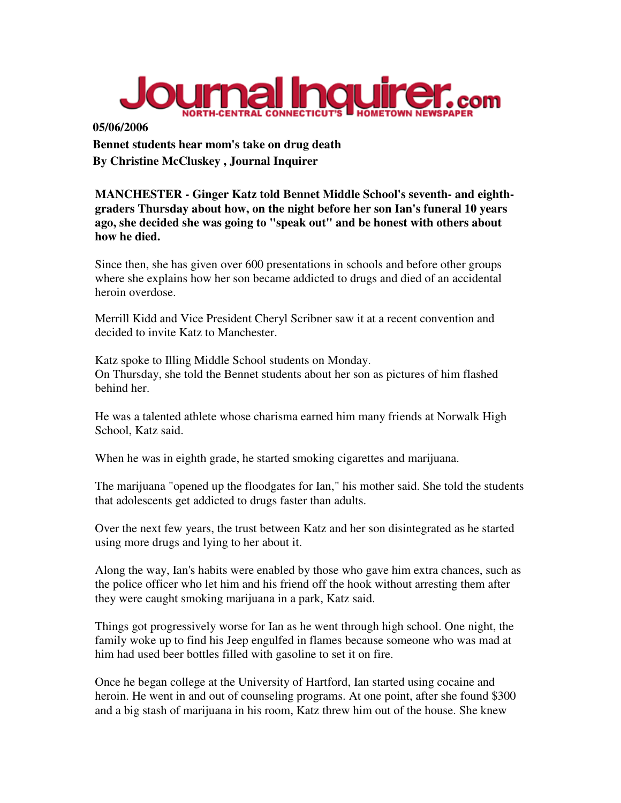

**05/06/2006 Bennet students hear mom's take on drug death By Christine McCluskey , Journal Inquirer** 

**MANCHESTER - Ginger Katz told Bennet Middle School's seventh- and eighthgraders Thursday about how, on the night before her son Ian's funeral 10 years ago, she decided she was going to "speak out" and be honest with others about how he died.** 

Since then, she has given over 600 presentations in schools and before other groups where she explains how her son became addicted to drugs and died of an accidental heroin overdose.

Merrill Kidd and Vice President Cheryl Scribner saw it at a recent convention and decided to invite Katz to Manchester.

Katz spoke to Illing Middle School students on Monday. On Thursday, she told the Bennet students about her son as pictures of him flashed behind her.

He was a talented athlete whose charisma earned him many friends at Norwalk High School, Katz said.

When he was in eighth grade, he started smoking cigarettes and marijuana.

The marijuana "opened up the floodgates for Ian," his mother said. She told the students that adolescents get addicted to drugs faster than adults.

Over the next few years, the trust between Katz and her son disintegrated as he started using more drugs and lying to her about it.

Along the way, Ian's habits were enabled by those who gave him extra chances, such as the police officer who let him and his friend off the hook without arresting them after they were caught smoking marijuana in a park, Katz said.

Things got progressively worse for Ian as he went through high school. One night, the family woke up to find his Jeep engulfed in flames because someone who was mad at him had used beer bottles filled with gasoline to set it on fire.

Once he began college at the University of Hartford, Ian started using cocaine and heroin. He went in and out of counseling programs. At one point, after she found \$300 and a big stash of marijuana in his room, Katz threw him out of the house. She knew